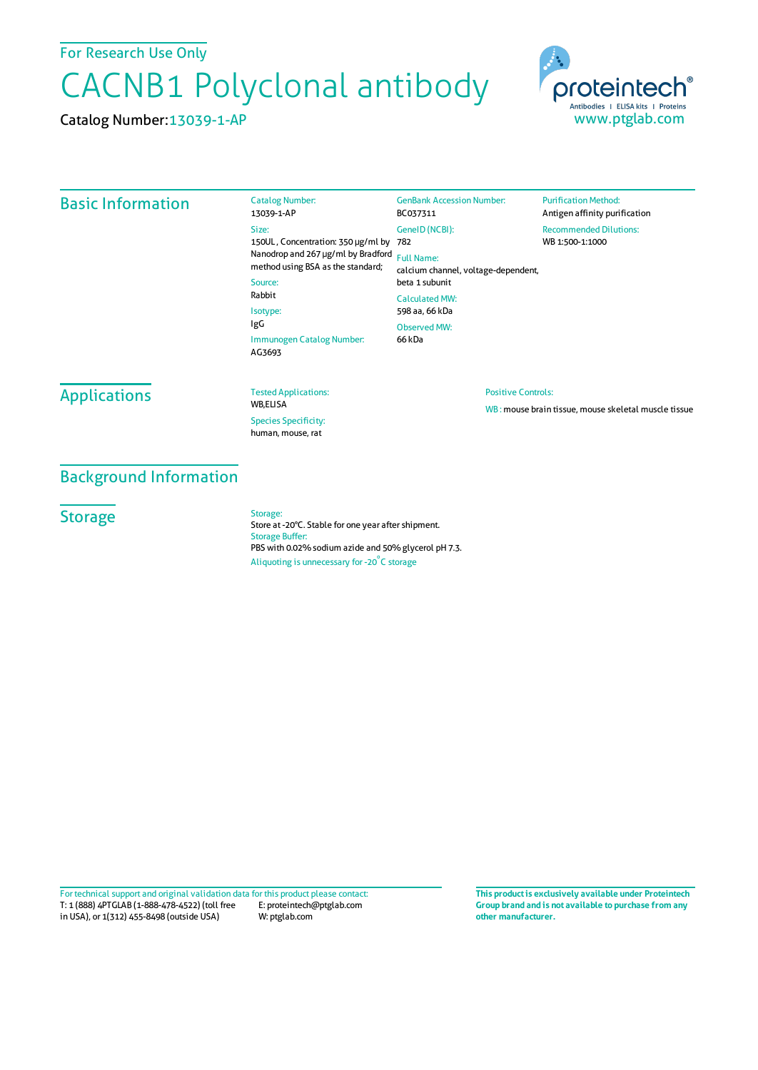For Research Use Only

# CACNB1 Polyclonal antibody

Catalog Number:13039-1-AP



### Basic Information

Catalog Number: 13039-1-AP Size: 150UL , Concentration: 350 μg/ml by 782 Nanodrop and 267 μg/ml by Bradford Full Name: method using BSA as the standard; Source: Rabbit Isotype: IgG Immunogen Catalog Number: AG3693 GenBank Accession Number: BC037311 GeneID(NCBI): calcium channel, voltage-dependent, beta 1 subunit CalculatedMW: 598 aa, 66 kDa Observed MW: 66 kDa

**Purification Method:** Antigen affinity purification Recommended Dilutions: WB 1:500-1:1000

## **Applications**

Tested Applications:

WB,ELISA Species Specificity: human, mouse, rat

#### Positive Controls:

WB : mouse brain tissue, mouse skeletal muscle tissue

## Background Information

**Storage** 

#### Storage:

Store at -20°C. Stable for one year after shipment. Storage Buffer: PBS with 0.02% sodium azide and 50% glycerol pH 7.3. Aliquoting is unnecessary for -20<sup>°</sup>C storage

T: 1 (888) 4PTGLAB (1-888-478-4522) (toll free in USA), or 1(312) 455-8498 (outside USA) E: proteintech@ptglab.com W: ptglab.com Fortechnical support and original validation data forthis product please contact: **This productis exclusively available under Proteintech**

**Group brand and is not available to purchase from any other manufacturer.**